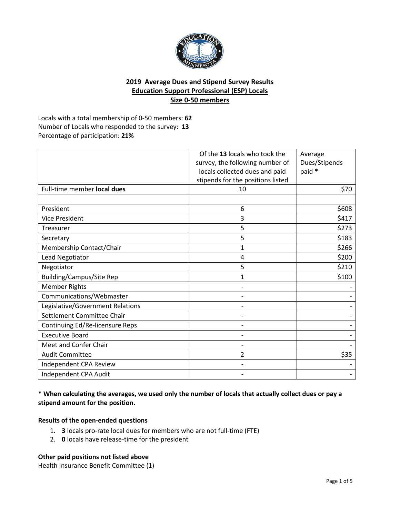

# **2019 Average Dues and Stipend Survey Results Education Support Professional (ESP) Locals Size 0-50 members**

Locals with a total membership of 0-50 members: **62** Number of Locals who responded to the survey: **13** Percentage of participation: **21%**

|                                  | Of the 13 locals who took the     | Average       |
|----------------------------------|-----------------------------------|---------------|
|                                  | survey, the following number of   | Dues/Stipends |
|                                  | locals collected dues and paid    | paid *        |
|                                  | stipends for the positions listed |               |
| Full-time member local dues      | 10                                | \$70          |
|                                  |                                   |               |
| President                        | 6                                 | \$608         |
| <b>Vice President</b>            | 3                                 | \$417         |
| Treasurer                        | 5                                 | \$273         |
| Secretary                        | 5                                 | \$183         |
| Membership Contact/Chair         | $\mathbf{1}$                      | \$266         |
| Lead Negotiator                  | 4                                 | \$200         |
| Negotiator                       | 5                                 | \$210         |
| <b>Building/Campus/Site Rep</b>  | 1                                 | \$100         |
| <b>Member Rights</b>             |                                   |               |
| Communications/Webmaster         |                                   |               |
| Legislative/Government Relations |                                   |               |
| Settlement Committee Chair       |                                   |               |
| Continuing Ed/Re-licensure Reps  |                                   |               |
| <b>Executive Board</b>           |                                   |               |
| Meet and Confer Chair            |                                   |               |
| <b>Audit Committee</b>           | $\overline{2}$                    | \$35          |
| Independent CPA Review           |                                   |               |
| Independent CPA Audit            |                                   |               |

## **\* When calculating the averages, we used only the number of locals that actually collect dues or pay a stipend amount for the position.**

### **Results of the open-ended questions**

- 1. **3** locals pro-rate local dues for members who are not full-time (FTE)
- 2. **0** locals have release-time for the president

### **Other paid positions not listed above**

Health Insurance Benefit Committee (1)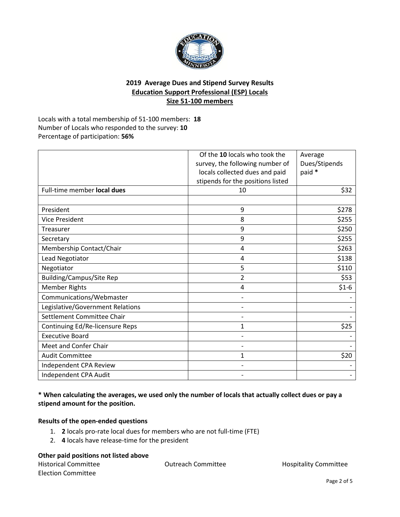

# **2019 Average Dues and Stipend Survey Results Education Support Professional (ESP) Locals Size 51-100 members**

Locals with a total membership of 51-100 members: **18** Number of Locals who responded to the survey: **10** Percentage of participation: **56%**

|                                  | Of the 10 locals who took the     | Average       |
|----------------------------------|-----------------------------------|---------------|
|                                  | survey, the following number of   | Dues/Stipends |
|                                  | locals collected dues and paid    | paid *        |
|                                  | stipends for the positions listed |               |
| Full-time member local dues      | 10                                | \$32          |
|                                  |                                   |               |
| President                        | 9                                 | \$278         |
| <b>Vice President</b>            | 8                                 | \$255         |
| Treasurer                        | 9                                 | \$250         |
| Secretary                        | 9                                 | \$255         |
| Membership Contact/Chair         | 4                                 | \$263         |
| Lead Negotiator                  | 4                                 | \$138         |
| Negotiator                       | 5                                 | \$110         |
| <b>Building/Campus/Site Rep</b>  | $\overline{2}$                    | \$53          |
| <b>Member Rights</b>             | 4                                 | $$1-6$        |
| Communications/Webmaster         |                                   |               |
| Legislative/Government Relations |                                   |               |
| Settlement Committee Chair       |                                   |               |
| Continuing Ed/Re-licensure Reps  | 1                                 | \$25          |
| <b>Executive Board</b>           |                                   |               |
| Meet and Confer Chair            |                                   |               |
| <b>Audit Committee</b>           | 1                                 | \$20          |
| Independent CPA Review           |                                   |               |
| Independent CPA Audit            |                                   |               |

## **\* When calculating the averages, we used only the number of locals that actually collect dues or pay a stipend amount for the position.**

### **Results of the open-ended questions**

- 1. **2** locals pro-rate local dues for members who are not full-time (FTE)
- 2. **4** locals have release-time for the president

### **Other paid positions not listed above**

| <b>Historical Committee</b> | <b>Outreach Committee</b> | <b>Hospitality Committee</b> |
|-----------------------------|---------------------------|------------------------------|
| <b>Election Committee</b>   |                           |                              |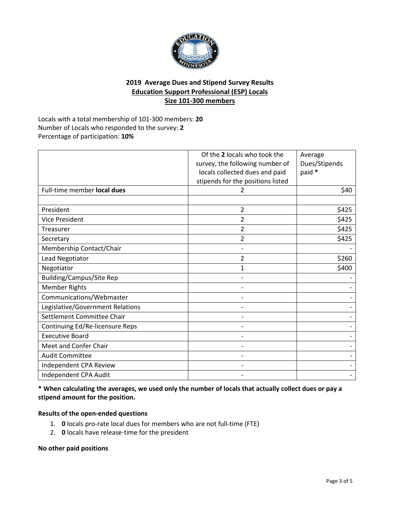

# **2019 Average Dues and Stipend Survey Results Education Support Professional (ESP) Locals Size 101-300 members**

Locals with a total membership of 101-300 members: **20** Number of Locals who responded to the survey: **2** Percentage of participation: **10%**

|                                  | Of the 2 locals who took the      | Average       |
|----------------------------------|-----------------------------------|---------------|
|                                  | survey, the following number of   | Dues/Stipends |
|                                  | locals collected dues and paid    | paid *        |
|                                  | stipends for the positions listed |               |
| Full-time member local dues      | 2                                 | \$40          |
|                                  |                                   |               |
| President                        | $\overline{2}$                    | \$425         |
| <b>Vice President</b>            | 2                                 | \$425         |
| Treasurer                        | 2                                 | \$425         |
| Secretary                        | $\overline{2}$                    | \$425         |
| Membership Contact/Chair         |                                   |               |
| Lead Negotiator                  | 2                                 | \$260         |
| Negotiator                       | 1                                 | \$400         |
| <b>Building/Campus/Site Rep</b>  |                                   |               |
| <b>Member Rights</b>             |                                   |               |
| Communications/Webmaster         |                                   |               |
| Legislative/Government Relations |                                   |               |
| Settlement Committee Chair       |                                   |               |
| Continuing Ed/Re-licensure Reps  |                                   |               |
| <b>Executive Board</b>           |                                   |               |
| Meet and Confer Chair            |                                   |               |
| <b>Audit Committee</b>           |                                   |               |
| Independent CPA Review           |                                   |               |
| Independent CPA Audit            |                                   |               |

### **\* When calculating the averages, we used only the number of locals that actually collect dues or pay a stipend amount for the position.**

## **Results of the open-ended questions**

- 1. **0** locals pro-rate local dues for members who are not full-time (FTE)
- 2. **0** locals have release-time for the president

**No other paid positions**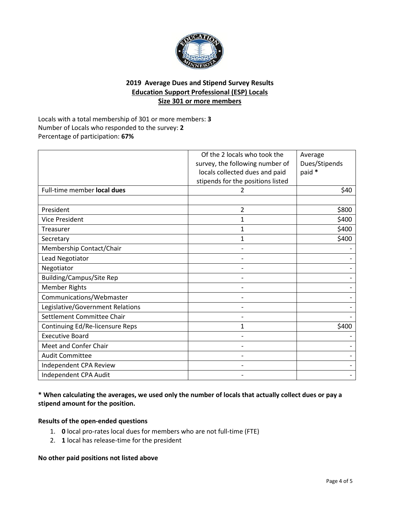

# **2019 Average Dues and Stipend Survey Results Education Support Professional (ESP) Locals Size 301 or more members**

Locals with a total membership of 301 or more members: **3** Number of Locals who responded to the survey: **2** Percentage of participation: **67%**

|                                  | Of the 2 locals who took the      | Average       |
|----------------------------------|-----------------------------------|---------------|
|                                  | survey, the following number of   | Dues/Stipends |
|                                  | locals collected dues and paid    | paid *        |
|                                  | stipends for the positions listed |               |
| Full-time member local dues      |                                   | \$40          |
|                                  |                                   |               |
| President                        | 2                                 | \$800         |
| <b>Vice President</b>            | 1                                 | \$400         |
| Treasurer                        | 1                                 | \$400         |
| Secretary                        | 1                                 | \$400         |
| Membership Contact/Chair         |                                   |               |
| Lead Negotiator                  |                                   |               |
| Negotiator                       |                                   |               |
| <b>Building/Campus/Site Rep</b>  |                                   |               |
| <b>Member Rights</b>             |                                   |               |
| Communications/Webmaster         |                                   |               |
| Legislative/Government Relations |                                   |               |
| Settlement Committee Chair       |                                   |               |
| Continuing Ed/Re-licensure Reps  | 1                                 | \$400         |
| <b>Executive Board</b>           |                                   |               |
| Meet and Confer Chair            |                                   |               |
| <b>Audit Committee</b>           |                                   |               |
| Independent CPA Review           |                                   |               |
| Independent CPA Audit            |                                   |               |

**\* When calculating the averages, we used only the number of locals that actually collect dues or pay a stipend amount for the position.**

### **Results of the open-ended questions**

- 1. **0** local pro-rates local dues for members who are not full-time (FTE)
- 2. **1** local has release-time for the president

**No other paid positions not listed above**